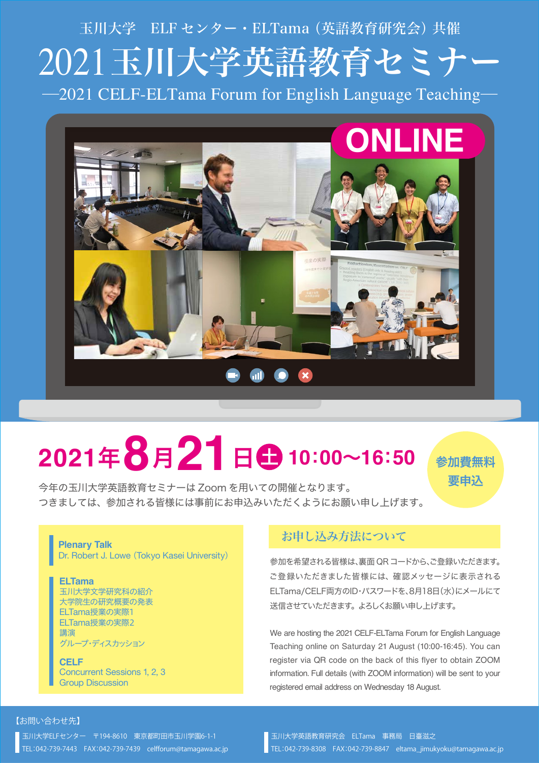# 2021玉川大学英語教育セミナー ―2021 CELF-ELTama Forum for English Language Teaching― 玉川大学 ELF センター・ELTama(英語教育研究会)共催



# **<sup>2021</sup>**年**8**月**21**<sup>日</sup> <sup>土</sup> **<sup>10</sup>**:**00**~**16**:**<sup>50</sup>**

今年の玉川大学英語教育セミナーは Zoom を用いての開催となります。

参加費無料 要申込

つきましては、参加される皆様には事前にお申込みいただくようにお願い申し上げます。

#### **Plenary Talk**

Dr. Robert J. Lowe (Tokyo Kasei University)

#### **ELTama** 玉川大学文学研究科の紹介 大学院生の研究概要の発表

ELTama授業の実際1 ELTama授業の実際2 講演 グループ・ディスカッション

**CELF** Concurrent Sessions 1, 2, 3 Group Discussion

### お申し込み方法について

参加を希望される皆様は、裏面 QRコードから、ご登録いただきます。 ご登録いただきました皆様には、確認メッセージに表示される ELTama/CELF両方のID・パスワードを、8月18日(水)にメールにて 送信させていただきます。よろしくお願い申し上げます。

We are hosting the 2021 CELF-ELTama Forum for English Language Teaching online on Saturday 21 August (10:00-16:45). You can register via QR code on the back of this flyer to obtain ZOOM information. Full details (with ZOOM information) will be sent to your registered email address on Wednesday 18 August.

#### 【お問い合わせ先】

玉川大学ELFセンター 〒194-8610 東京都町田市玉川学園6-1-1 TEL:042-739-7443 FAX:042-739-7439 celfforum@tamagawa.ac.jp 玉川大学英語教育研究会 ELTama 事務局 日臺滋之 TEL:042-739-8308 FAX:042-739-8847 eltama\_jimukyoku@tamagawa.ac.jp